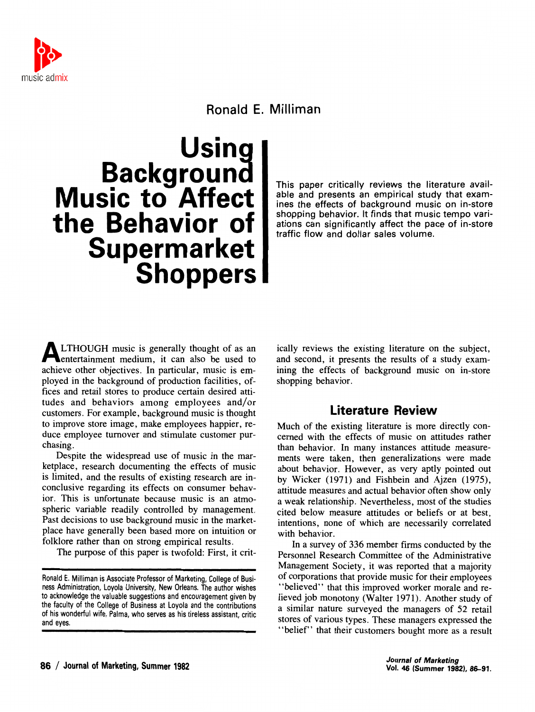

## **Ronald E. Milliman**

# **Using Background MUSIC TO ATTE the Behavior of Supermarket Shoppers**

**This paper critically reviews the literature available and presents an empirical study that examines the effects of background music on in-store shopping behavior. It finds that music tempo variations can significantly affect the pace of in-store traffic flow and dollar sales volume.** 

**ALTHOUGH music is generally thought of as an entertainment medium, it can also be used to achieve other objectives. In particular, music is employed in the background of production facilities, offices and retail stores to produce certain desired attitudes and behaviors among employees and/or customers. For example, background music is thought to improve store image, make employees happier, reduce employee turnover and stimulate customer purchasing.** 

**Despite the widespread use of music in the marketplace, research documenting the effects of music is limited, and the results of existing research are inconclusive regarding its effects on consumer behavior. This is unfortunate because music is an atmospheric variable readily controlled by management. Past decisions to use background music in the marketplace have generally been based more on intuition or folklore rather than on strong empirical results.** 

**The purpose of this paper is twofold: First, it crit-**

**ically reviews the existing literature on the subject, and second, it presents the results of a study examining the effects of background music on in-store shopping behavior.** 

## **Literature Review**

**Much of the existing literature is more directly concerned with the effects of music on attitudes rather than behavior. In many instances attitude measurements were taken, then generalizations were made about behavior. However, as very aptly pointed out by Wicker (1971) and Fishbein and Ajzen (1975), attitude measures and actual behavior often show only a weak relationship. Nevertheless, most of the studies cited below measure attitudes or beliefs or at best, intentions, none of which are necessarily correlated with behavior.** 

**In a survey of 336 member firms conducted by the Personnel Research Committee of the Administrative Management Society, it was reported that a majority of corporations that provide music for their employees "believed" that this improved worker morale and relieved job monotony (Walter 1971). Another study of a similar nature surveyed the managers of 52 retail stores of various types. These managers expressed the "belief" that their customers bought more as a result** 

**Ronald E. Milliman is Associate Professor of Marketing, College of Business Administration, Loyola University, New Orleans. The author wishes to acknowledge the valuable suggestions and encouragement given by the faculty of the College of Business at Loyola and the contributions of his wonderful wife, Palma, who serves as his tireless assistant, critic and eyes.**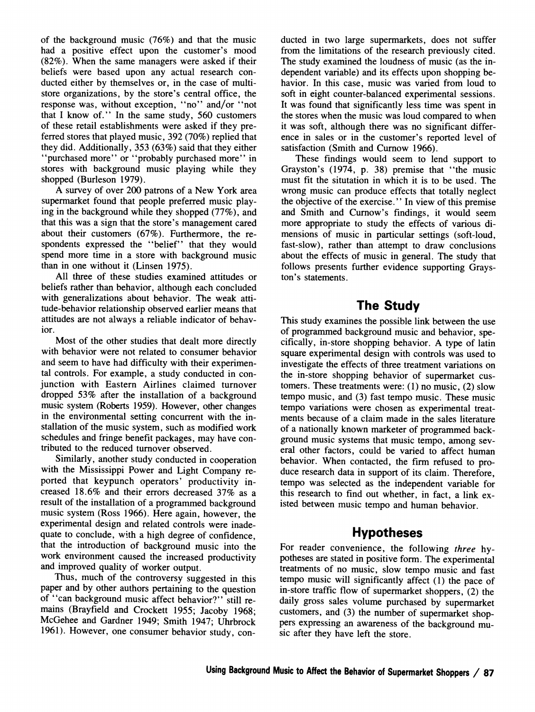**of the background music (76%) and that the music had a positive effect upon the customer's mood (82%). When the same managers were asked if their beliefs were based upon any actual research conducted either by themselves or, in the case of multistore organizations, by the store's central office, the response was, without exception, "no" and/or "not that I know of." In the same study, 560 customers of these retail establishments were asked if they preferred stores that played music, 392 (70%) replied that they did. Additionally, 353 (63%) said that they either "purchased more" or "probably purchased more" in stores with background music playing while they shopped (Burleson 1979).** 

**A survey of over 200 patrons of a New York area supermarket found that people preferred music playing in the background while they shopped (77%), and that this was a sign that the store's management cared about their customers (67%). Furthermore, the respondents expressed the "belief" that they would spend more time in a store with background music than in one without it (Linsen 1975).** 

**All three of these studies examined attitudes or beliefs rather than behavior, although each concluded with generalizations about behavior. The weak attitude-behavior relationship observed earlier means that attitudes are not always a reliable indicator of behavior.** 

**Most of the other studies that dealt more directly with behavior were not related to consumer behavior and seem to have had difficulty with their experimental controls. For example, a study conducted in conjunction with Eastern Airlines claimed turnover dropped 53% after the installation of a background music system (Roberts 1959). However, other changes in the environmental setting concurrent with the installation of the music system, such as modified work schedules and fringe benefit packages, may have contributed to the reduced turnover observed.** 

**Similarly, another study conducted in cooperation with the Mississippi Power and Light Company reported that keypunch operators' productivity increased 18.6% and their errors decreased 37% as a result of the installation of a programmed background music system (Ross 1966). Here again, however, the experimental design and related controls were inadequate to conclude, with a high degree of confidence, that the introduction of background music into the work environment caused the increased productivity and improved quality of worker output.** 

**Thus, much of the controversy suggested in this paper and by other authors pertaining to the question of "can background music affect behavior?" still remains (Brayfield and Crockett 1955; Jacoby 1968; McGehee and Gardner 1949; Smith 1947; Uhrbrock 1961). However, one consumer behavior study, con-**

**ducted in two large supermarkets, does not suffer from the limitations of the research previously cited. The study examined the loudness of music (as the independent variable) and its effects upon shopping behavior. In this case, music was varied from loud to soft in eight counter-balanced experimental sessions. It was found that significantly less time was spent in the stores when the music was loud compared to when it was soft, although there was no significant difference in sales or in the customer's reported level of satisfaction (Smith and Curnow 1966).** 

**These findings would seem to lend support to Grayston's (1974, p. 38) premise that "the music must fit the situtation in which it is to be used. The wrong music can produce effects that totally neglect the objective of the exercise." In view of this premise and Smith and Curow's findings, it would seem more appropriate to study the effects of various dimensions of music in particular settings (soft-loud, fast-slow), rather than attempt to draw conclusions about the effects of music in general. The study that follows presents further evidence supporting Grayston's statements.** 

## **The Study**

**This study examines the possible link between the use of programmed background music and behavior, specifically, in-store shopping behavior. A type of latin square experimental design with controls was used to investigate the effects of three treatment variations on the in-store shopping behavior of supermarket customers. These treatments were: (1) no music, (2) slow tempo music, and (3) fast tempo music. These music tempo variations were chosen as experimental treatments because of a claim made in the sales literature of a nationally known marketer of programmed background music systems that music tempo, among several other factors, could be varied to affect human behavior. When contacted, the firm refused to produce research data in support of its claim. Therefore, tempo was selected as the independent variable for this research to find out whether, in fact, a link existed between music tempo and human behavior.** 

# **Hypotheses**

**For reader convenience, the following three hypotheses are stated in positive form. The experimental treatments of no music, slow tempo music and fast tempo music will significantly affect (1) the pace of in-store traffic flow of supermarket shoppers, (2) the daily gross sales volume purchased by supermarket customers, and (3) the number of supermarket shoppers expressing an awareness of the background music after they have left the store.**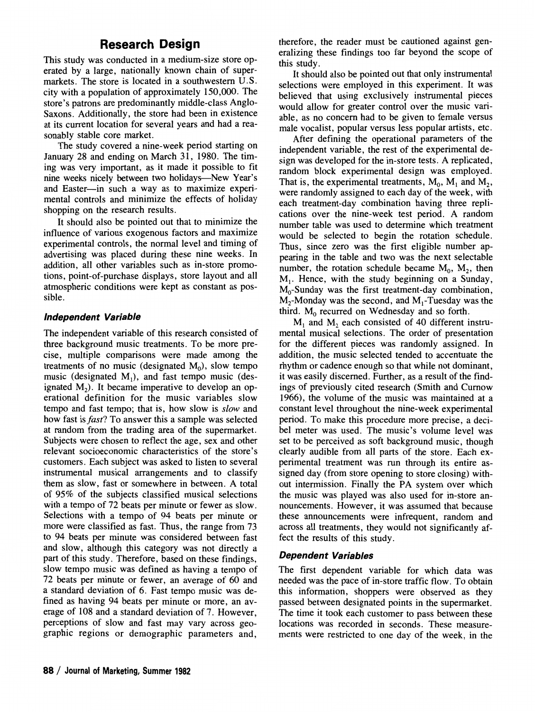# **Research Design**

**This study was conducted in a medium-size store operated by a large, nationally known chain of supermarkets. The store is located in a southwestern U.S. city with a population of approximately 150,000. The store's patrons are predominantly middle-class Anglo-Saxons. Additionally, the store had been in existence at its current location for several years and had a reasonably stable core market.** 

**The study covered a nine-week period starting on January 28 and ending on March 31, 1980. The timing was very important, as it made it possible to fit nine weeks nicely between two holidays-New Year's**  and Easter-in such a way as to maximize experi**mental controls and minimize the effects of holiday shopping on the research results.** 

**It should also be pointed out that to minimize the influence of various exogenous factors and maximize experimental controls, the normal level and timing of advertising was placed during these nine weeks. In addition, all other variables such as in-store promotions, point-of-purchase displays, store layout and all atmospheric conditions were kept as constant as possible.** 

#### **Independent Variable**

**The independent variable of this research consisted of three background music treatments. To be more precise, multiple comparisons were made among the**  treatments of no music (designated  $M_0$ ), slow tempo music (designated M<sub>1</sub>), and fast tempo music (designated M<sub>2</sub>). It became imperative to develop an op**erational definition for the music variables slow tempo and fast tempo; that is, how slow is slow and how fast is fast? To answer this a sample was selected at random from the trading area of the supermarket. Subjects were chosen to reflect the age, sex and other relevant socioeconomic characteristics of the store's customers. Each subject was asked to listen to several instrumental musical arrangements and to classify them as slow, fast or somewhere in between. A total of 95% of the subjects classified musical selections with a tempo of 72 beats per minute or fewer as slow. Selections with a tempo of 94 beats per minute or more were classified as fast. Thus, the range from 73 to 94 beats per minute was considered between fast and slow, although this category was not directly a part of this study. Therefore, based on these findings, slow tempo music was defined as having a tempo of 72 beats per minute or fewer, an average of 60 and a standard deviation of 6. Fast tempo music was defined as having 94 beats per minute or more, an average of 108 and a standard deviation of 7. However, perceptions of slow and fast may vary across geographic regions or demographic parameters and,** 

**therefore, the reader must be cautioned against generalizing these findings too far beyond the scope of this study.** 

**It should also be pointed out that only instrumental selections were employed in this experiment. It was believed that using exclusively instrumental pieces would allow for greater control over the music variable, as no concern had to be given to female versus male vocalist, popular versus less popular artists, etc.** 

**After defining the operational parameters of the independent variable, the rest of the experimental design was developed for the in-store tests. A replicated, random block experimental design was employed.**  That is, the experimental treatments,  $M_0$ ,  $M_1$  and  $M_2$ , **were randomly assigned to each day of the week, with each treatment-day combination having three replications over the nine-week test period. A random number table was used to determine which treatment would be selected to begin the rotation schedule. Thus, since zero was the first eligible number appearing in the table and two was the next selectable**  number, the rotation schedule became  $M_0$ ,  $M_2$ , then **M,. Hence, with the study beginning on a Sunday, M0-Sunday was the first treatment-day combination,**   $M_2$ -Monday was the second, and  $M_1$ -Tuesday was the third. M<sub>0</sub> recurred on Wednesday and so forth.

M<sub>1</sub> and M<sub>2</sub> each consisted of 40 different instru**mental musical selections. The order of presentation for the different pieces was randomly assigned. In addition, the music selected tended to accentuate the rhythm or cadence enough so that while not dominant, it was easily discerned. Further, as a result of the findings of previously cited research (Smith and Curow 1966), the volume of the music was maintained at a constant level throughout the nine-week experimental period. To make this procedure more precise, a decibel meter was used. The music's volume level was set to be perceived as soft background music, though clearly audible from all parts of the store. Each experimental treatment was run through its entire assigned day (from store opening to store closing) without intermission. Finally the PA system over which the music was played was also used for in-store announcements. However, it was assumed that because these announcements were infrequent, random and across all treatments, they would not significantly affect the results of this study.** 

#### **Dependent Variables**

**The first dependent variable for which data was needed was the pace of in-store traffic flow. To obtain this information, shoppers were observed as they passed between designated points in the supermarket. The time it took each customer to pass between these locations was recorded in seconds. These measurements were restricted to one day of the week, in the**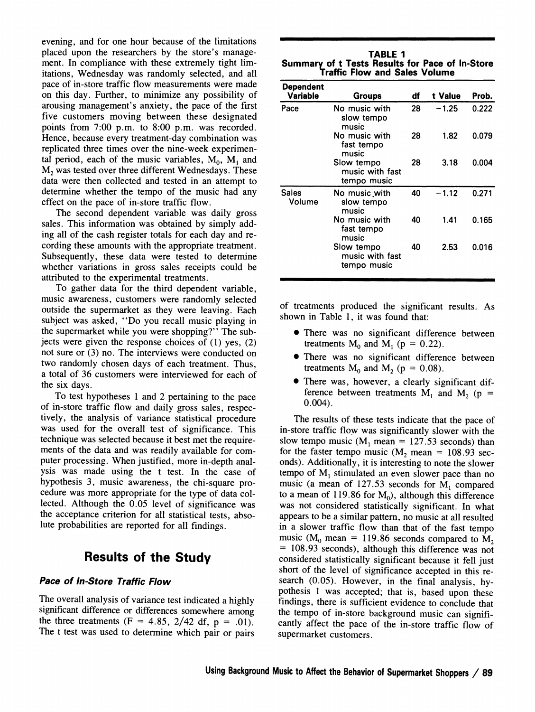**evening, and for one hour because of the limitations placed upon the researchers by the store's management. In compliance with these extremely tight limitations, Wednesday was randomly selected, and all pace of in-store traffic flow measurements were made on this day. Further, to minimize any possibility of arousing management's anxiety, the pace of the first five customers moving between these designated points from 7:00 p.m. to 8:00 p.m. was recorded. Hence, because every treatment-day combination was replicated three times over the nine-week experimen**tal period, each of the music variables,  $M_0$ ,  $M_1$  and **M2 was tested over three different Wednesdays. These data were then collected and tested in an attempt to determine whether the tempo of the music had any effect on the pace of in-store traffic flow.** 

**The second dependent variable was daily gross sales. This information was obtained by simply adding all of the cash register totals for each day and recording these amounts with the appropriate treatment. Subsequently, these data were tested to determine whether variations in gross sales receipts could be attributed to the experimental treatments.** 

**To gather data for the third dependent variable, music awareness, customers were randomly selected outside the supermarket as they were leaving. Each subject was asked, "Do you recall music playing in the supermarket while you were shopping?" The subjects were given the response choices of (1) yes, (2) not sure or (3) no. The interviews were conducted on two randomly chosen days of each treatment. Thus, a total of 36 customers were interviewed for each of the six days.** 

**To test hypotheses 1 and 2 pertaining to the pace of in-store traffic flow and daily gross sales, respectively, the analysis of variance statistical procedure was used for the overall test of significance. This technique was selected because it best met the requirements of the data and was readily available for computer processing. When justified, more in-depth analysis was made using the t test. In the case of hypothesis 3, music awareness, the chi-square procedure was more appropriate for the type of data collected. Although the 0.05 level of significance was the acceptance criterion for all statistical tests, absolute probabilities are reported for all findings.** 

# **Results of the Study**

## **Pace of In-Store Traffic Flow**

**The overall analysis of variance test indicated a highly significant difference or differences somewhere among**  the three treatments  $(F = 4.85, 2/42 \text{ df}, p = .01)$ . **The t test was used to determine which pair or pairs** 

|                                                 |  | <b>TABLE 1</b>                |  |  |
|-------------------------------------------------|--|-------------------------------|--|--|
| Summary of t Tests Results for Pace of In-Store |  |                               |  |  |
|                                                 |  | Traffic Flow and Sales Volume |  |  |

| Dependent<br>Variable  | <b>Groups</b>                                | df | t Value | Prob. |
|------------------------|----------------------------------------------|----|---------|-------|
| Pace                   | No music with<br>slow tempo<br>music         | 28 | $-1.25$ | 0.222 |
|                        | No music with<br>fast tempo<br>music         | 28 | 1.82    | 0.079 |
|                        | Slow tempo<br>music with fast<br>tempo music | 28 | 3.18    | 0.004 |
| <b>Sales</b><br>Volume | No music with<br>slow tempo<br>music         | 40 | $-1.12$ | 0.271 |
|                        | No music with<br>fast tempo<br>music         | 40 | 1.41    | 0.165 |
|                        | Slow tempo<br>music with fast<br>tempo music | 40 | 2.53    | 0.016 |

**of treatments produced the significant results. As shown in Table 1, it was found that:** 

- **\* There was no significant difference between**  treatments  $M_0$  and  $M_1$  (p = 0.22).
- **\* There was no significant difference between**  treatments  $M_0$  and  $M_2$  ( $p = 0.08$ ).
- **There was, however, a clearly significant dif**ference between treatments  $M_1$  and  $M_2$  (p = **0.004).**

**The results of these tests indicate that the pace of in-store traffic flow was significantly slower with the**  slow tempo music  $(M_1 \text{ mean} = 127.53 \text{ seconds})$  than for the faster tempo music  $(M_2 \text{ mean} = 108.93 \text{ sec}$ **onds). Additionally, it is interesting to note the slower**  tempo of  $M_1$  stimulated an even slower pace than no music (a mean of 127.53 seconds for  $M<sub>1</sub>$  compared to a mean of 119.86 for  $M_0$ ), although this difference **was not considered statistically significant. In what appears to be a similar pattern, no music at all resulted in a slower traffic flow than that of the fast tempo**  music ( $M_0$  mean = 119.86 seconds compared to  $M_2$ **= 108.93 seconds), although this difference was not considered statistically significant because it fell just short of the level of significance accepted in this research (0.05). However, in the final analysis, hypothesis 1 was accepted; that is, based upon these findings, there is sufficient evidence to conclude that the tempo of in-store background music can significantly affect the pace of the in-store traffic flow of supermarket customers.**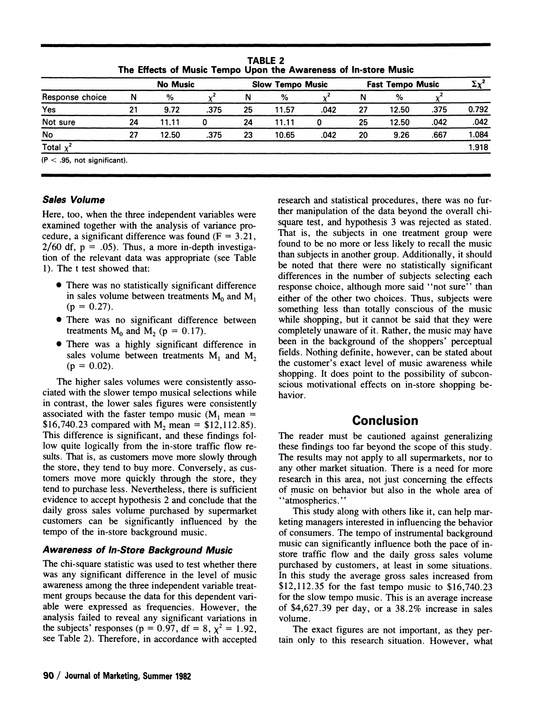|                             | The Effects of Music Tempo Upon the Awareness of In-store Music |       |      |                         |       |      |                         |       |      |       |
|-----------------------------|-----------------------------------------------------------------|-------|------|-------------------------|-------|------|-------------------------|-------|------|-------|
| Response choice             | <b>No Music</b>                                                 |       |      | <b>Slow Tempo Music</b> |       |      | <b>Fast Tempo Music</b> |       |      |       |
|                             | N                                                               | %     |      | N                       | %     |      | N                       | %     |      |       |
| Yes                         | 21                                                              | 9.72  | .375 | 25                      | 11.57 | .042 | 27                      | 12.50 | .375 | 0.792 |
| Not sure                    | 24                                                              | 11.11 |      | 24                      | 11.11 |      | 25                      | 12.50 | .042 | .042  |
| No                          | 27                                                              | 12.50 | .375 | 23                      | 10.65 | .042 | 20                      | 9.26  | .667 | 1.084 |
| Total $\chi^2$              |                                                                 |       |      |                         |       |      |                         |       |      | 1.918 |
| (P < .95, not significant). |                                                                 |       |      |                         |       |      |                         |       |      |       |

**TABLE 2** 

## **Sales Volume**

**Here, too, when the three independent variables were examined together with the analysis of variance procedure, a significant difference was found (F = 3.21, 2/60 df, p = .05). Thus, a more in-depth investigation of the relevant data was appropriate (see Table 1). The t test showed that:** 

- **\* There was no statistically significant difference**  in sales volume between treatments  $M_0$  and  $M_1$  $(p = 0.27)$ .
- **\* There was no significant difference between**  treatments  $M_0$  and  $M_2$  ( $p = 0.17$ ).
- **\* There was a highly significant difference in**  sales volume between treatments  $M_1$  and  $M_2$  $(p = 0.02)$ .

**The higher sales volumes were consistently associated with the slower tempo musical selections while in contrast, the lower sales figures were consistently**  associated with the faster tempo music  $(M_1)$  mean = \$16,740.23 compared with M<sub>2</sub> mean = \$12,112.85). **This difference is significant, and these findings follow quite logically from the in-store traffic flow results. That is, as customers move more slowly through the store, they tend to buy more. Conversely, as customers move more quickly through the store, they tend to purchase less. Nevertheless, there is sufficient evidence to accept hypothesis 2 and conclude that the daily gross sales volume purchased by supermarket customers can be significantly influenced by the tempo of the in-store background music.** 

## **Awareness of In-Store Background Music**

**The chi-square statistic was used to test whether there was any significant difference in the level of music awareness among the three independent variable treatment groups because the data for this dependent variable were expressed as frequencies. However, the analysis failed to reveal any significant variations in**  the subjects' responses ( $p = 0.97$ , df = 8,  $\chi^2 = 1.92$ , **see Table 2). Therefore, in accordance with accepted** 

**research and statistical procedures, there was no further manipulation of the data beyond the overall chisquare test, and hypothesis 3 was rejected as stated. That is, the subjects in one treatment group were found to be no more or less likely to recall the music than subjects in another group. Additionally, it should be noted that there were no statistically significant differences in the number of subjects selecting each response choice, although more said "not sure" than either of the other two choices. Thus, subjects were something less than totally conscious of the music while shopping, but it cannot be said that they were completely unaware of it. Rather, the music may have been in the background of the shoppers' perceptual fields. Nothing definite, however, can be stated about the customer's exact level of music awareness while shopping. It does point to the possibility of subconscious motivational effects on in-store shopping behavior.** 

## **Conclusion**

**The reader must be cautioned against generalizing these findings too far beyond the scope of this study. The results may not apply to all supermarkets, nor to any other market situation. There is a need for more research in this area, not just concerning the effects of music on behavior but also in the whole area of "atmospherics."** 

**This study along with others like it, can help marketing managers interested in influencing the behavior of consumers. The tempo of instrumental background music can significantly influence both the pace of instore traffic flow and the daily gross sales volume purchased by customers, at least in some situations. In this study the average gross sales increased from \$12,112.35 for the fast tempo music to \$16,740.23 for the slow tempo music. This is an average increase of \$4,627.39 per day, or a 38.2% increase in sales volume.** 

**The exact figures are not important, as they pertain only to this research situation. However, what**